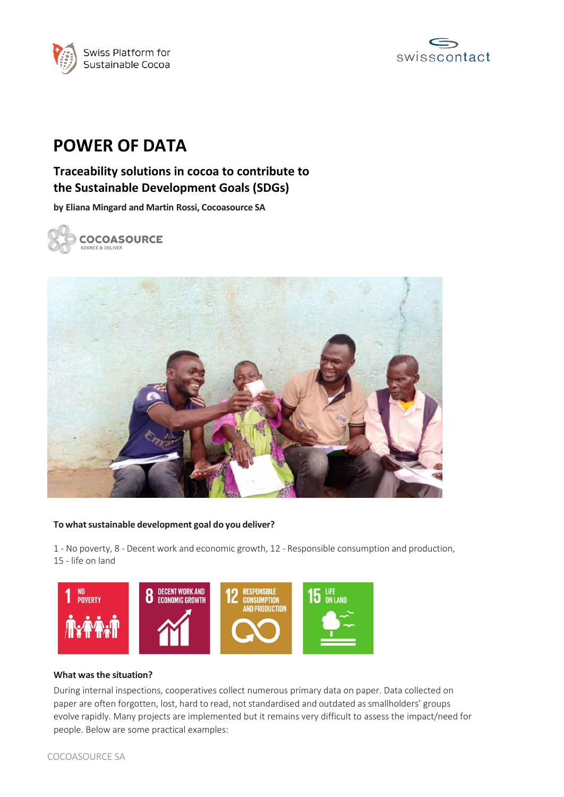



# **POWER OF DATA**

# **Traceability solutions in cocoa to contribute to the Sustainable Development Goals (SDGs)**

**by Eliana Mingard and Martin Rossi, Cocoasource SA**





#### **To whatsustainable development goal do you deliver?**

1 - No poverty, 8 - Decent work and economic growth, 12 - Responsible consumption and production, 15 - life on land



#### **What wasthe situation?**

During internal inspections, cooperatives collect numerous primary data on paper. Data collected on paper are often forgotten, lost, hard to read, not standardised and outdated as smallholders' groups evolve rapidly. Many projects are implemented but it remains very difficult to assess the impact/need for people. Below are some practical examples: